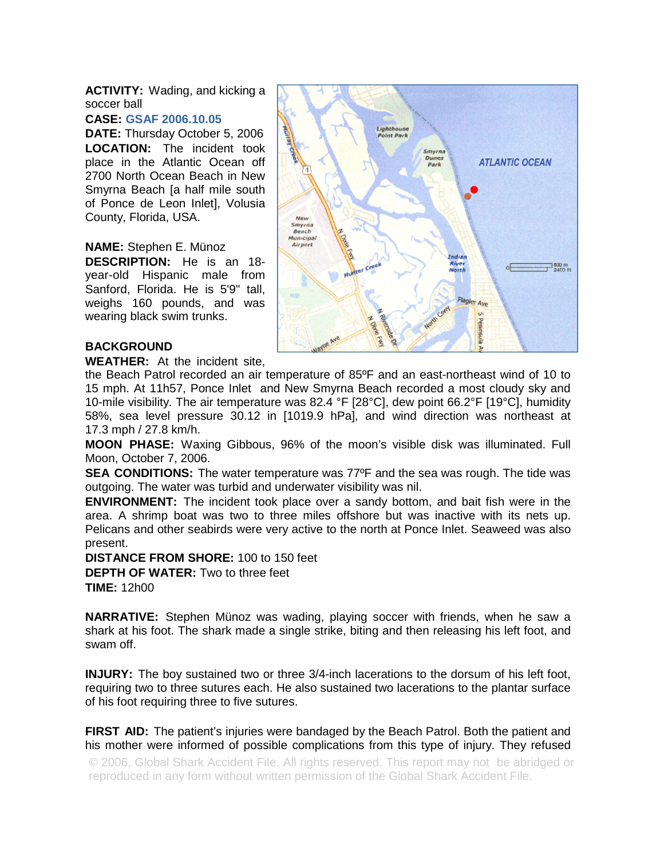**ACTIVITY:** Wading, and kicking a soccer ball

## **CASE: GSAF 2006.10.05**

**DATE:** Thursday October 5, 2006 **LOCATION:** The incident took place in the Atlantic Ocean off 2700 North Ocean Beach in New Smyrna Beach [a half mile south of Ponce de Leon Inlet], Volusia County, Florida, USA.

## **NAME:** Stephen E. Münoz

**DESCRIPTION:** He is an 18 year-old Hispanic male from Sanford, Florida. He is 5'9" tall, weighs 160 pounds, and was wearing black swim trunks.



## **BACKGROUND**

**WEATHER:** At the incident site,

the Beach Patrol recorded an air temperature of 85ºF and an east-northeast wind of 10 to 15 mph. At 11h57, Ponce Inlet and New Smyrna Beach recorded a most cloudy sky and 10-mile visibility. The air temperature was 82.4 °F [28°C], dew point 66.2°F [19°C], humidity 58%, sea level pressure 30.12 in [1019.9 hPa], and wind direction was northeast at 17.3 mph / 27.8 km/h.

**MOON PHASE:** Waxing Gibbous, 96% of the moon's visible disk was illuminated. Full Moon, October 7, 2006.

**SEA CONDITIONS:** The water temperature was 77ºF and the sea was rough. The tide was outgoing. The water was turbid and underwater visibility was nil.

**ENVIRONMENT:** The incident took place over a sandy bottom, and bait fish were in the area. A shrimp boat was two to three miles offshore but was inactive with its nets up. Pelicans and other seabirds were very active to the north at Ponce Inlet. Seaweed was also present.

**DISTANCE FROM SHORE:** 100 to 150 feet **DEPTH OF WATER:** Two to three feet **TIME:** 12h00

**NARRATIVE:** Stephen Münoz was wading, playing soccer with friends, when he saw a shark at his foot. The shark made a single strike, biting and then releasing his left foot, and swam off.

**INJURY:** The boy sustained two or three 3/4-inch lacerations to the dorsum of his left foot, requiring two to three sutures each. He also sustained two lacerations to the plantar surface of his foot requiring three to five sutures.

**FIRST AID:** The patient's injuries were bandaged by the Beach Patrol. Both the patient and his mother were informed of possible complications from this type of injury. They refused

© 2006, Global Shark Accident File. All rights reserved. This report may not be abridged or reproduced in any form without written permission of the Global Shark Accident File.